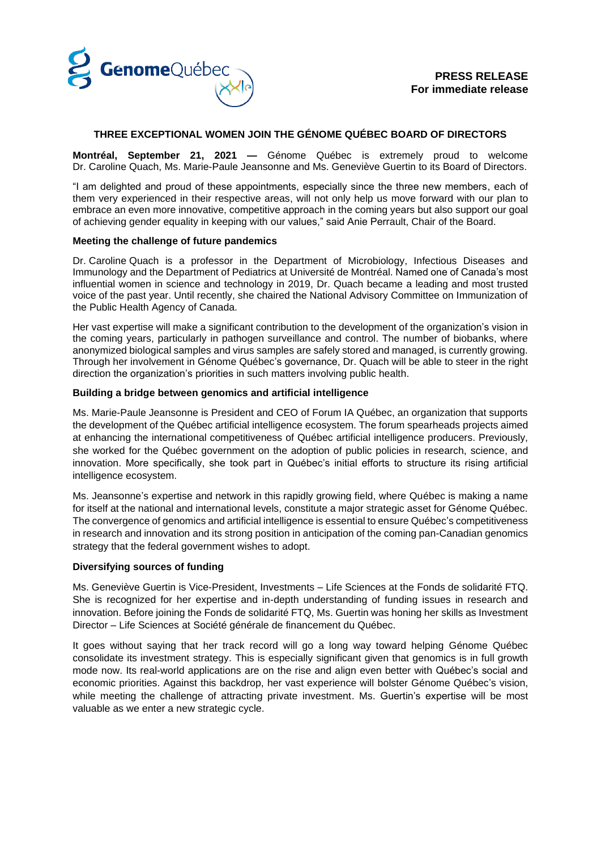

# **THREE EXCEPTIONAL WOMEN JOIN THE GÉNOME QUÉBEC BOARD OF DIRECTORS**

**Montréal, September 21, 2021 —** Génome Québec is extremely proud to welcome Dr. Caroline Quach, Ms. Marie-Paule Jeansonne and Ms. Geneviève Guertin to its Board of Directors.

"I am delighted and proud of these appointments, especially since the three new members, each of them very experienced in their respective areas, will not only help us move forward with our plan to embrace an even more innovative, competitive approach in the coming years but also support our goal of achieving gender equality in keeping with our values," said Anie Perrault, Chair of the Board.

### **Meeting the challenge of future pandemics**

Dr. Caroline Quach is a professor in the Department of Microbiology, Infectious Diseases and Immunology and the Department of Pediatrics at Université de Montréal. Named one of Canada's most influential women in science and technology in 2019, Dr. Quach became a leading and most trusted voice of the past year. Until recently, she chaired the National Advisory Committee on Immunization of the Public Health Agency of Canada.

Her vast expertise will make a significant contribution to the development of the organization's vision in the coming years, particularly in pathogen surveillance and control. The number of biobanks, where anonymized biological samples and virus samples are safely stored and managed, is currently growing. Through her involvement in Génome Québec's governance, Dr. Quach will be able to steer in the right direction the organization's priorities in such matters involving public health.

### **Building a bridge between genomics and artificial intelligence**

Ms. Marie-Paule Jeansonne is President and CEO of Forum IA Québec, an organization that supports the development of the Québec artificial intelligence ecosystem. The forum spearheads projects aimed at enhancing the international competitiveness of Québec artificial intelligence producers. Previously, she worked for the Québec government on the adoption of public policies in research, science, and innovation. More specifically, she took part in Québec's initial efforts to structure its rising artificial intelligence ecosystem.

Ms. Jeansonne's expertise and network in this rapidly growing field, where Québec is making a name for itself at the national and international levels, constitute a major strategic asset for Génome Québec. The convergence of genomics and artificial intelligence is essential to ensure Québec's competitiveness in research and innovation and its strong position in anticipation of the coming pan-Canadian genomics strategy that the federal government wishes to adopt.

### **Diversifying sources of funding**

Ms. Geneviève Guertin is Vice-President, Investments – Life Sciences at the Fonds de solidarité FTQ. She is recognized for her expertise and in-depth understanding of funding issues in research and innovation. Before joining the Fonds de solidarité FTQ, Ms. Guertin was honing her skills as Investment Director – Life Sciences at Société générale de financement du Québec.

It goes without saying that her track record will go a long way toward helping Génome Québec consolidate its investment strategy. This is especially significant given that genomics is in full growth mode now. Its real-world applications are on the rise and align even better with Québec's social and economic priorities. Against this backdrop, her vast experience will bolster Génome Québec's vision, while meeting the challenge of attracting private investment. Ms. Guertin's expertise will be most valuable as we enter a new strategic cycle.